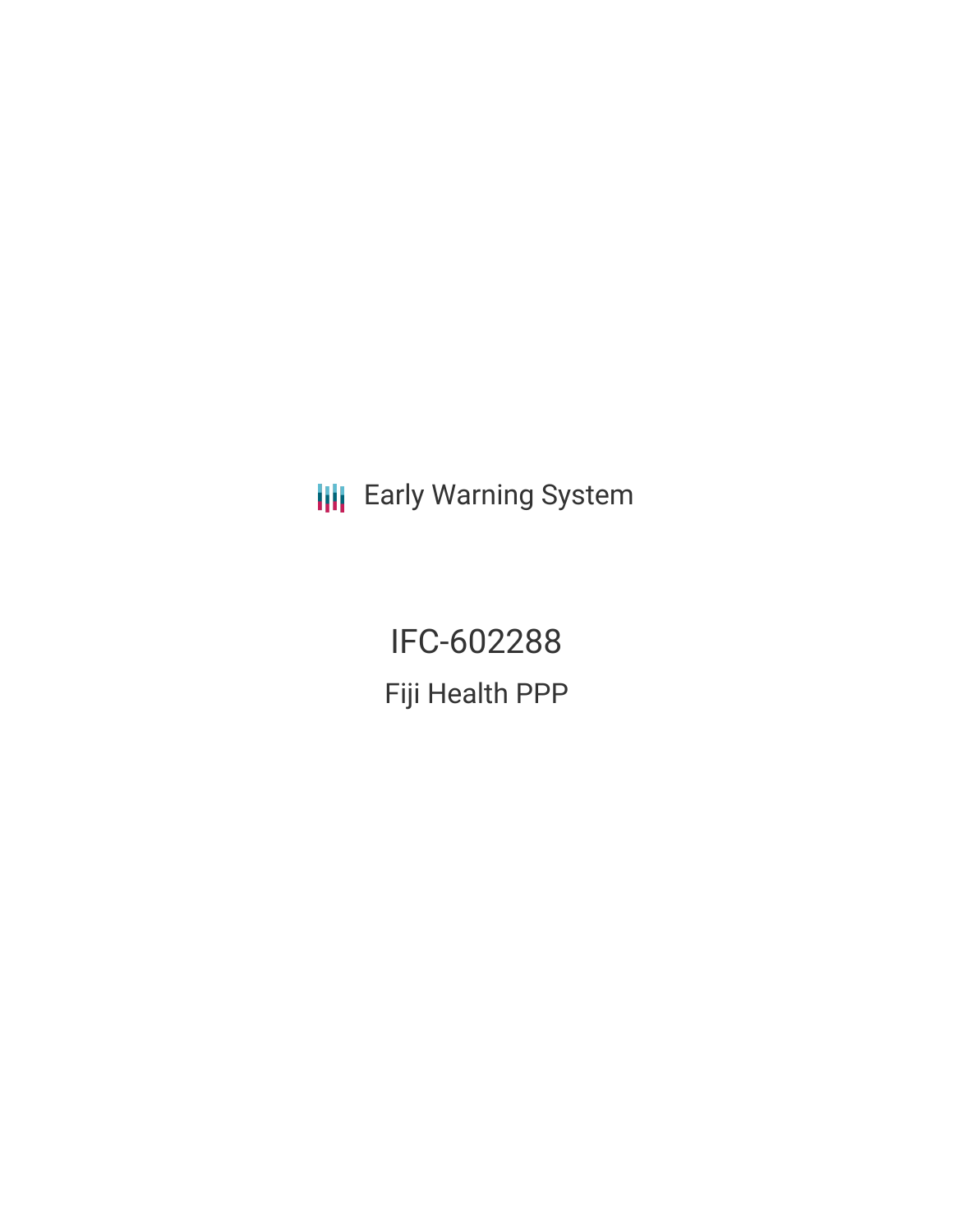**III** Early Warning System

IFC-602288 Fiji Health PPP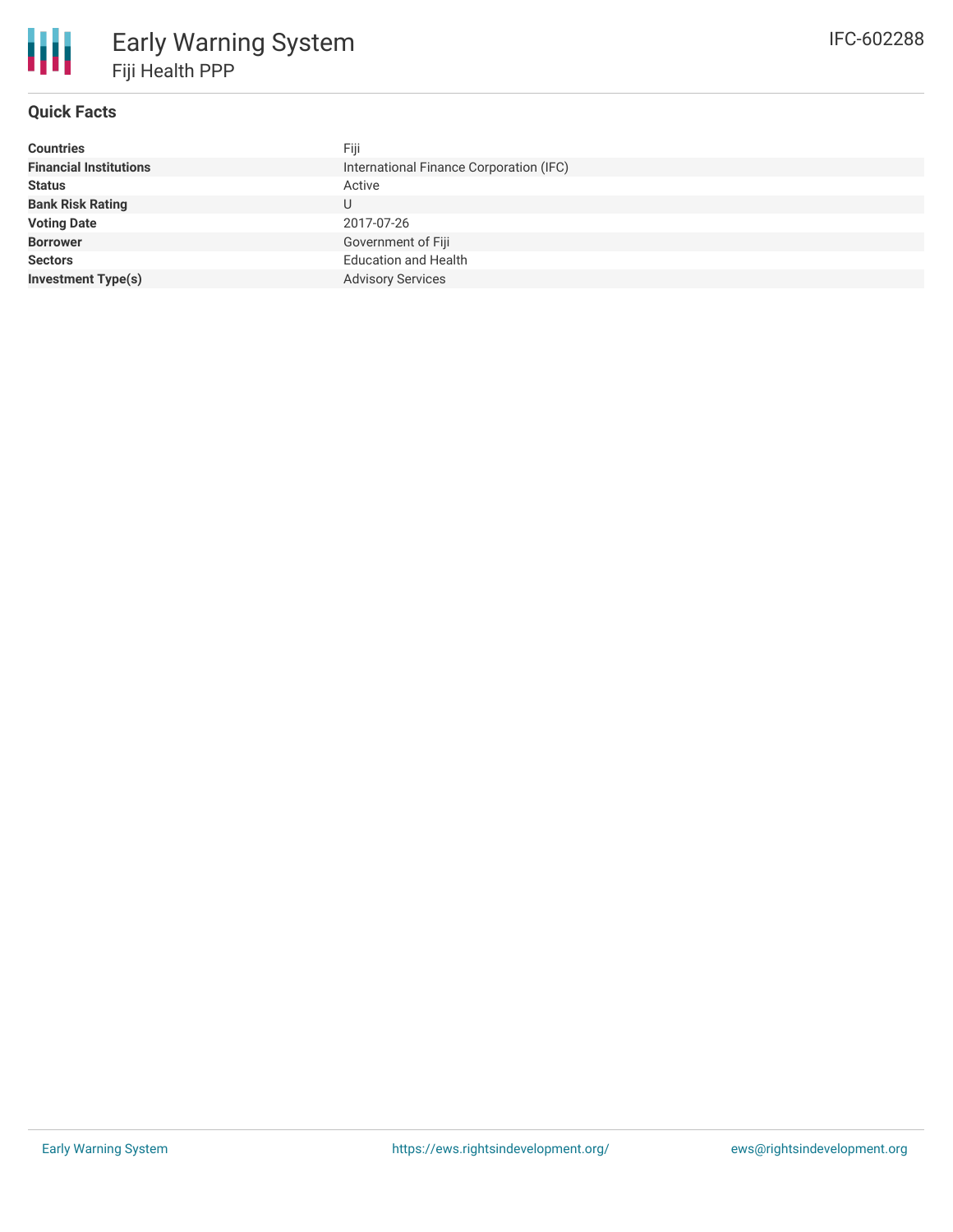

## **Quick Facts**

| Fiji                                    |
|-----------------------------------------|
| International Finance Corporation (IFC) |
| Active                                  |
| U                                       |
| 2017-07-26                              |
| Government of Fiji                      |
| <b>Education and Health</b>             |
| <b>Advisory Services</b>                |
|                                         |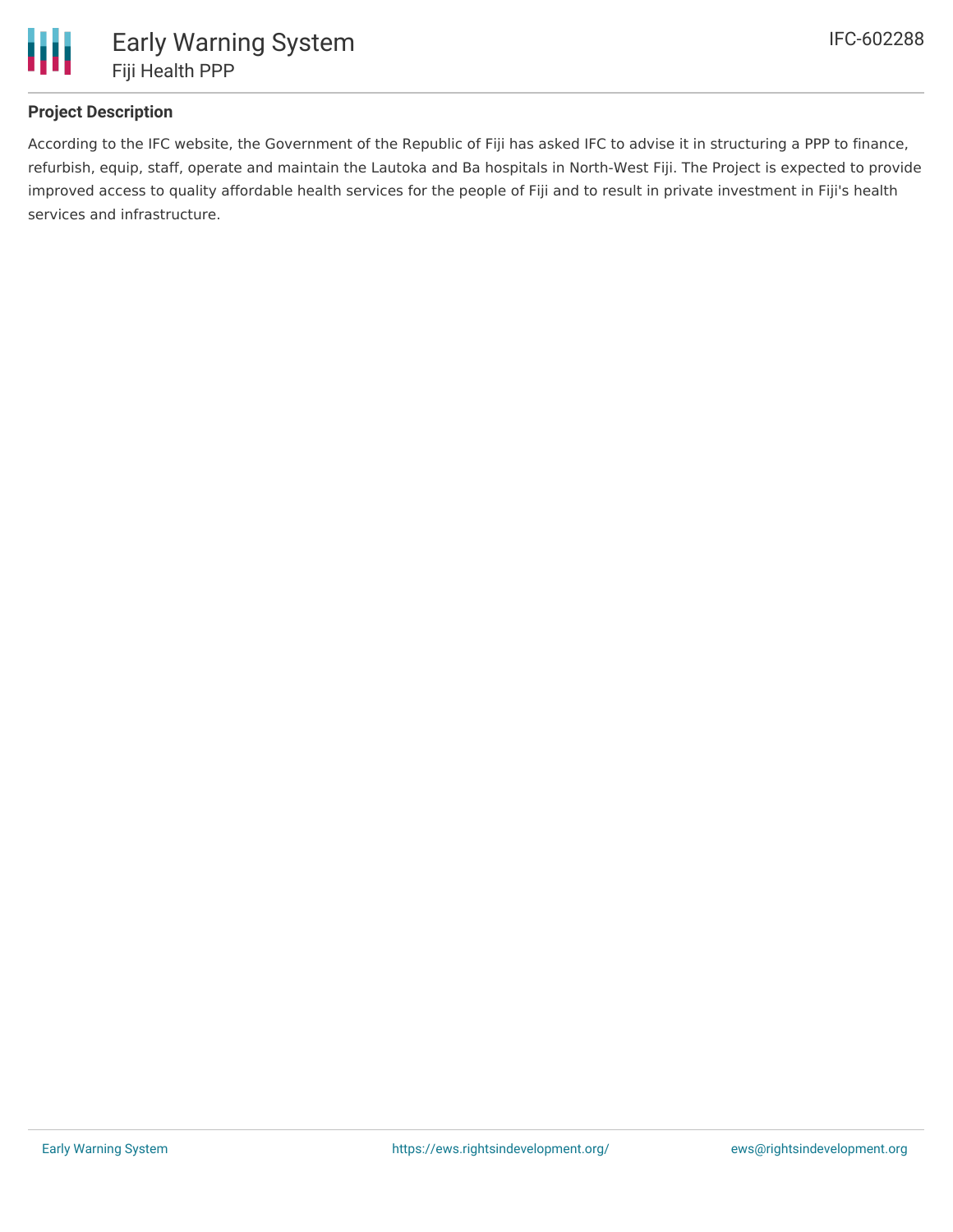

## **Project Description**

According to the IFC website, the Government of the Republic of Fiji has asked IFC to advise it in structuring a PPP to finance, refurbish, equip, staff, operate and maintain the Lautoka and Ba hospitals in North-West Fiji. The Project is expected to provide improved access to quality affordable health services for the people of Fiji and to result in private investment in Fiji's health services and infrastructure.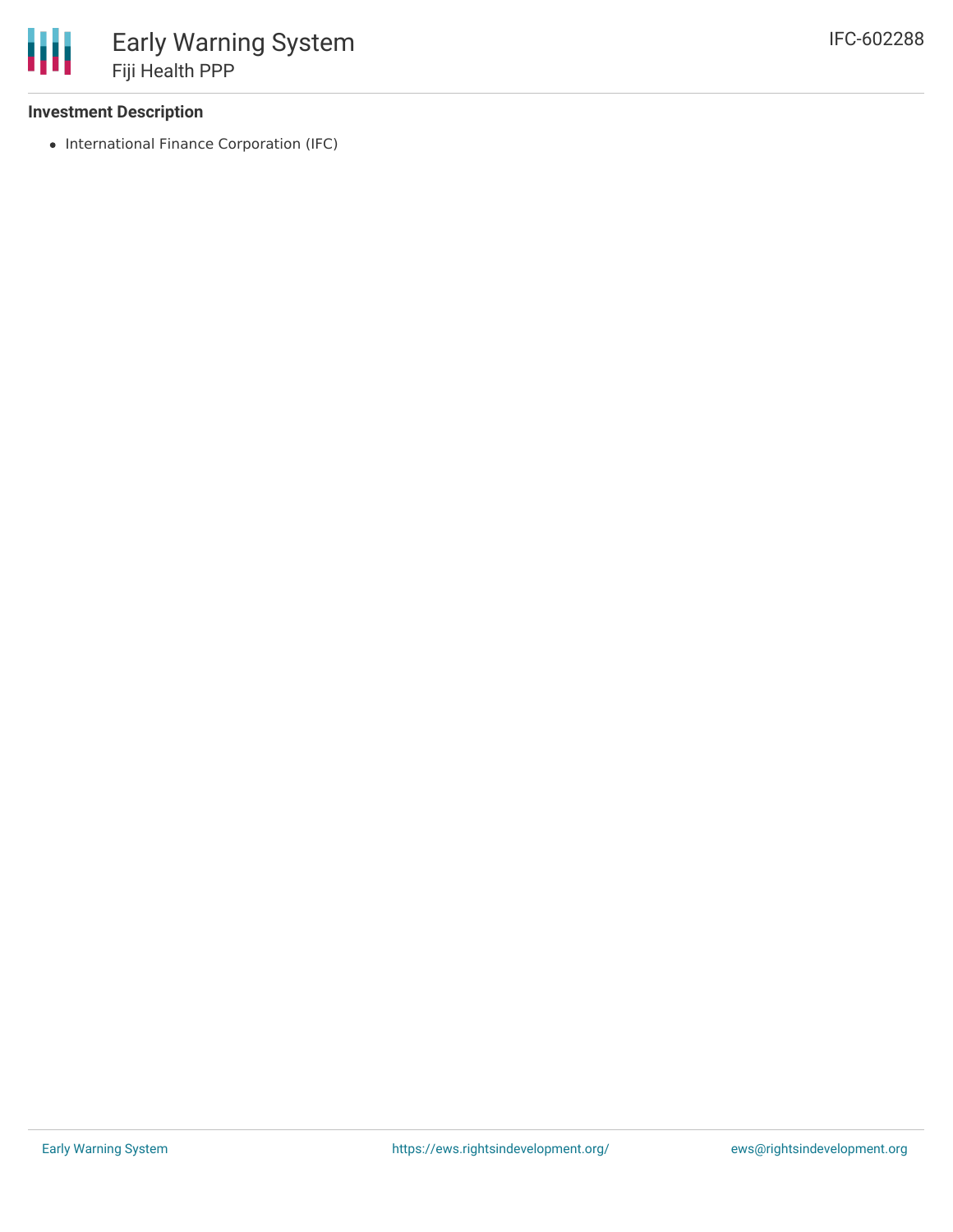## **Investment Description**

• International Finance Corporation (IFC)